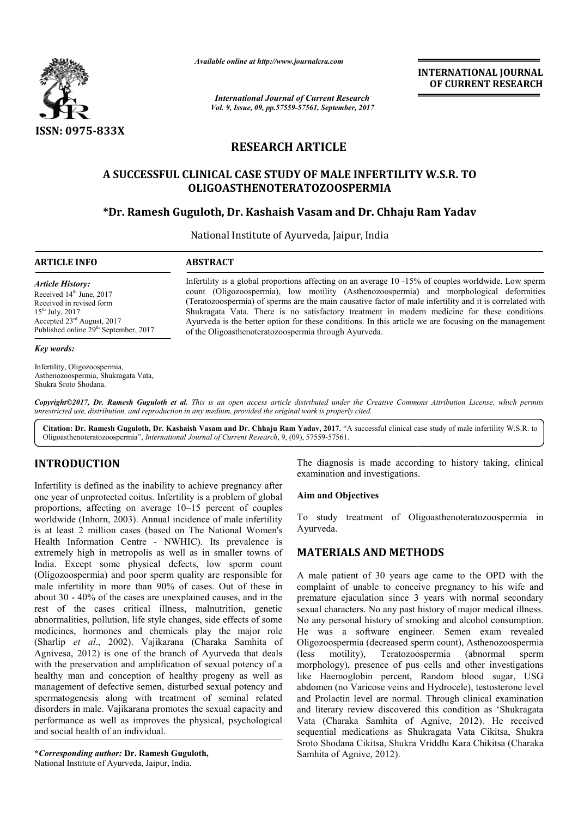

*Available online at http://www.journalcra.com*

*International Journal of Current Research Vol. 9, Issue, 09, pp.57559-57561, September, 2017* **INTERNATIONAL JOURNAL OF CURRENT RESEARCH**

# **RESEARCH ARTICLE**

# **A SUCCESSFUL CLINICAL CASE STUDY OF MALE INFERTILITY W.S.R. TO A SUCCESSFUL STUDY OF OLIGOASTHENOTERATOZOOSPERMIA**

# **\*Dr. Ramesh Guguloth Guguloth, Dr. Kashaish Vasam and Dr. Chhaju Ram Yadav**

National Institute of Ayurveda, Jaipur, India

#### **ARTICLE INFO ABSTRACT**

*Article History:* Received 14<sup>th</sup> June, 2017 Received in revised form 15th July, 2017 Accepted 23rd August, 2017 Published online 29<sup>th</sup> September, 2017

#### *Key words:*

Infertility, Oligozoospermia, Asthenozoospermia, Shukragata Vata, Shukra Sroto Shodana.

Infertility is a global proportions affecting on an average 10 -15% of couples worldwide. Low sperm count (Oligozoospermia), low motility (Asthenozoospermia) and morphological deformities (Teratozoospermia) of sperms are the main causative factor of male infertility and it is cor Shukragata Vata. There is no satisfactory treatment in modern medicine for these conditions. Shukragata Vata. There is no satisfactory treatment in modern medicine for these conditions.<br>Ayurveda is the better option for these conditions. In this article we are focusing on the management of the Oligoasthenoteratozoospermia through Ayur Ayurveda. Infertility is a global proportions affecting on an average 10 -15% of couples worldwide. Low sperm<br>count (Oligozoospermia), low motility (Asthenozoospermia) and morphological deformities<br>(Teratozoospermia) of sperms are t

Copyright©2017, Dr. Ramesh Guguloth et al. This is an open access article distributed under the Creative Commons Attribution License, which permits unrestricted use, distribution, and reproduction in any medium, provided the original work is properly cited.

Citation: Dr. Ramesh Guguloth, Dr. Kashaish Vasam and Dr. Chhaju Ram Yadav, 2017. "A successful clinical case study of male infertility W.S.R. to Oligoasthenoteratozoospermia", *International Journal of Current Research* , 9, (09), 57559-57561.

# **INTRODUCTION**

Infertility is defined as the inability to achieve pregnancy after one year of unprotected coitus. Infertility is a problem of global proportions, affecting on average 10–15 percent of couples worldwide (Inhorn, 2003). Annual incidence of male infertility is at least 2 million cases (based on The National Women's Health Information Centre - NWHIC). Its prevalence is extremely high in metropolis as well as in smaller towns of India. Except some physical defects, low sperm count (Oligozoospermia) and poor sperm quality are responsible for male infertility in more than 90% of cases. Out of these in about 30 - 40% of the cases are unexplained causes, and in the rest of the cases critical illness, malnutrition, genetic abnormalities, pollution, life style changes, side effects of some medicines, hormones and chemicals play the major role (Sharlip *et al*., 2002). Vajikarana (Charaka Samhita of Agnivesa, 2012) is one of the branch of Ayurveda that deals with the preservation and amplification of sexual potency of a healthy man and conception of healthy progeny as well as management of defective semen, disturbed sexual potency and spermatogenesis along with treatment of seminal related disorders in male. Vajikarana promotes the sexual capacity and performance as well as improves the physical, psychological and social health of an individual. average 10–15 percent of couples<br>
. Annual incidence of male infertility<br>
s (based on The National Women's<br>
tre - NWHIC). Its prevalence is<br>
solis as well as in smaller towns of<br>
nysical defects, low sperm count<br>
oor sperm

**\****Corresponding author:* **Dr. Ramesh Guguloth,** National Institute of Ayurveda, Jaipur, India.

The diagnosis is made according to history taking, clinical examination and investigations. The diagnosis is made according to history taking, clinical<br>examination and investigations.<br>**Aim and Objectives**<br>To study treatment of Oligoasthenoteratozoospermia in

#### **Aim and Objectives**

Ayurveda.

## **MATERIALS AND METHODS METHODS**

A male patient of 30 years age came to the OPD with the complaint of unable to conceive pregnancy to his wife and premature ejaculation since 3 years with normal secondary sexual characters. No any past history of major medical illness. No any personal history of smoking and alcohol consumption. He was a software engineer. Semen exam revealed Oligozoospermia (decreased sperm count), Asthenozoospermia (less motility), Teratozoospermia (abnormal sperm morphology), presence of pus cells and other investigations like Haemoglobin percent, Random blood sugar, USG abdomen (no Varicose veins and Hydrocele), testosterone level and Prolactin level are normal. Through clinical examination and literary review discovered this condition as 'Shukragata Vata (Charaka Samhita of Agnive, 2012). He received sequential medications as Shukragata Vata Cikitsa, Shukra Sroto Shodana Cikitsa, Shukra Vriddhi Kara Chikitsa Shukra Chikitsa (Charaka Samhita of Agnive, 2012). tient of 30 years age came to the OPD with the of unable to conceive pregnancy to his wife and ejaculation since 3 years with normal secondary acters. No any past history of major medical illness. was a software engineer. Semen exam revealed<br>protocospermia (decreased sperm count), Asthenozoospermia<br>motility), Teratozoospermia (abnormal sperm<br>hology), presence of pus cells and other investigations<br>Haemoglobin percent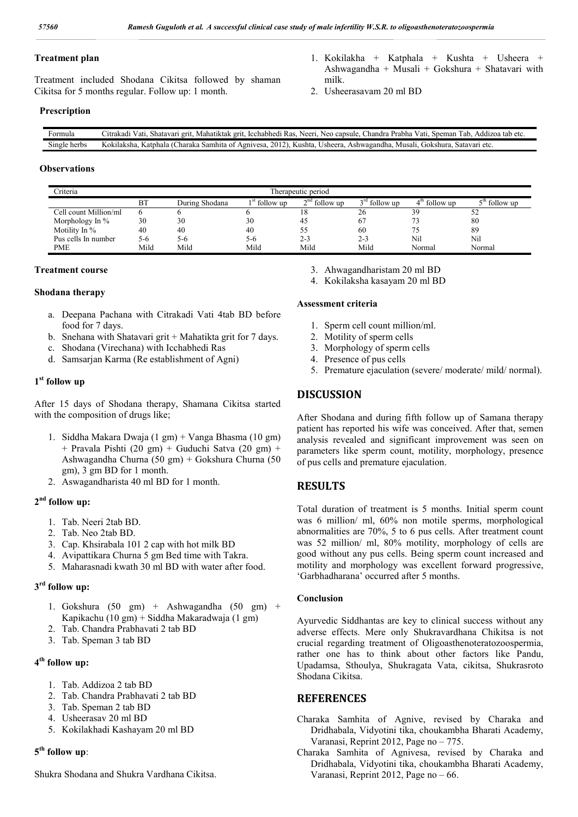milk.

2. Usheerasavam 20 ml BD

#### **Treatment plan**

Treatment included Shodana Cikitsa followed by shaman Cikitsa for 5 months regular. Follow up: 1 month.

**Prescription**

| ∺ormula         | o capsule<br>Speman<br>utrakadı.<br>Icchabhedi<br>Neer<br>Addızoa<br>Shatavar<br>handra.<br>tab etc<br>′atı<br>Mahatiktak grit.<br>Tab<br>.erit<br>Vati,<br>Prabha<br>Kas<br>Neo |
|-----------------|----------------------------------------------------------------------------------------------------------------------------------------------------------------------------------|
| Single<br>herbs | 2012<br>Ashwagandha.<br>Charaka Samhita -<br>∪sheera.<br>Agnivesa.<br>Kushta.<br>Gokshura.<br>Satavari<br>. of<br>Musalı.<br>etc<br>Katphala<br>≤ok⊺<br>'′uaksha.                |

#### **Observations**

| Criteria              | Therapeutic period |                |                 |                 |                 |                           |                 |  |
|-----------------------|--------------------|----------------|-----------------|-----------------|-----------------|---------------------------|-----------------|--|
|                       | ΒT                 | During Shodana | $1st$ follow up | $2nd$ follow up | $3rd$ follow up | $4^{\text{th}}$ follow up | $5th$ follow up |  |
| Cell count Million/ml |                    |                |                 | 18              | 26              | 39                        | 52              |  |
| Morphology In $\%$    | 30                 | 30             | 30              | 45              | -67             |                           | 80              |  |
| Motility In $\%$      | 40                 | 40             | 40              | 55              | 60              |                           | 89              |  |
| Pus cells In number   | 5-6                | 5-6            | 5-6             | $2 - 3$         | $2 - 3$         | Nil                       | Nil             |  |
| <b>PME</b>            | Mild               | Mild           | Mild            | Mild            | Mild            | Normal                    | Normal          |  |

#### **Treatment course**

#### **Shodana therapy**

- a. Deepana Pachana with Citrakadi Vati 4tab BD before food for 7 days.
- b. Snehana with Shatavari grit + Mahatikta grit for 7 days.
- c. Shodana (Virechana) with Icchabhedi Ras
- d. Samsarjan Karma (Re establishment of Agni)

#### **1st follow up**

After 15 days of Shodana therapy, Shamana Cikitsa started with the composition of drugs like;

- 1. Siddha Makara Dwaja (1 gm) + Vanga Bhasma (10 gm) + Pravala Pishti (20 gm) + Guduchi Satva (20 gm) + Ashwagandha Churna (50 gm) + Gokshura Churna (50 gm), 3 gm BD for 1 month.
- 2. Aswagandharista 40 ml BD for 1 month.

#### **2nd follow up:**

- 1. Tab. Neeri 2tab BD.
- 2. Tab. Neo 2tab BD.
- 3. Cap. Khsirabala 101 2 cap with hot milk BD
- 4. Avipattikara Churna 5 gm Bed time with Takra.
- 5. Maharasnadi kwath 30 ml BD with water after food.

#### **3rd follow up:**

- 1. Gokshura (50 gm) + Ashwagandha (50 gm) + Kapikachu (10 gm) + Siddha Makaradwaja (1 gm)
- 2. Tab. Chandra Prabhavati 2 tab BD
- 3. Tab. Speman 3 tab BD

## **4th follow up:**

- 1. Tab. Addizoa 2 tab BD
- 2. Tab. Chandra Prabhavati 2 tab BD
- 3. Tab. Speman 2 tab BD
- 4. Usheerasav 20 ml BD
- 5. Kokilakhadi Kashayam 20 ml BD

#### **5th follow up**:

Shukra Shodana and Shukra Vardhana Cikitsa.

- 3. Ahwagandharistam 20 ml BD
- 4. Kokilaksha kasayam 20 ml BD

#### **Assessment criteria**

- 1. Sperm cell count million/ml.
- 2. Motility of sperm cells
- 3. Morphology of sperm cells
- 4. Presence of pus cells
- 5. Premature ejaculation (severe/ moderate/ mild/ normal).

1. Kokilakha + Katphala + Kushta + Usheera + Ashwagandha + Musali + Gokshura + Shatavari with

## **DISCUSSION**

After Shodana and during fifth follow up of Samana therapy patient has reported his wife was conceived. After that, semen analysis revealed and significant improvement was seen on parameters like sperm count, motility, morphology, presence of pus cells and premature ejaculation.

## **RESULTS**

Total duration of treatment is 5 months. Initial sperm count was 6 million/ ml, 60% non motile sperms, morphological abnormalities are 70%, 5 to 6 pus cells. After treatment count was 52 million/ ml, 80% motility, morphology of cells are good without any pus cells. Being sperm count increased and motility and morphology was excellent forward progressive, 'Garbhadharana' occurred after 5 months.

#### **Conclusion**

Ayurvedic Siddhantas are key to clinical success without any adverse effects. Mere only Shukravardhana Chikitsa is not crucial regarding treatment of Oligoasthenoteratozoospermia, rather one has to think about other factors like Pandu, Upadamsa, Sthoulya, Shukragata Vata, cikitsa, Shukrasroto Shodana Cikitsa.

### **REFERENCES**

Charaka Samhita of Agnive, revised by Charaka and Dridhabala, Vidyotini tika, choukambha Bharati Academy, Varanasi, Reprint 2012, Page no – 775.

Charaka Samhita of Agnivesa, revised by Charaka and Dridhabala, Vidyotini tika, choukambha Bharati Academy, Varanasi, Reprint 2012, Page no – 66.